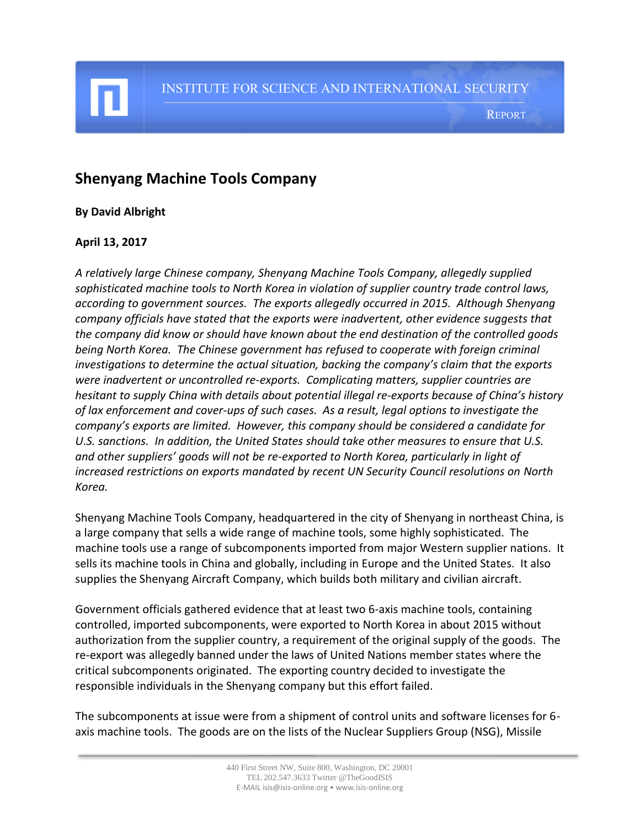## **Shenyang Machine Tools Company**

## **By David Albright**

## **April 13, 2017**

I

*A relatively large Chinese company, Shenyang Machine Tools Company, allegedly supplied sophisticated machine tools to North Korea in violation of supplier country trade control laws, according to government sources. The exports allegedly occurred in 2015. Although Shenyang company officials have stated that the exports were inadvertent, other evidence suggests that the company did know or should have known about the end destination of the controlled goods being North Korea. The Chinese government has refused to cooperate with foreign criminal investigations to determine the actual situation, backing the company's claim that the exports were inadvertent or uncontrolled re-exports. Complicating matters, supplier countries are hesitant to supply China with details about potential illegal re-exports because of China's history of lax enforcement and cover-ups of such cases. As a result, legal options to investigate the company's exports are limited. However, this company should be considered a candidate for U.S. sanctions. In addition, the United States should take other measures to ensure that U.S. and other suppliers' goods will not be re-exported to North Korea, particularly in light of increased restrictions on exports mandated by recent UN Security Council resolutions on North Korea.*

Shenyang Machine Tools Company, headquartered in the city of Shenyang in northeast China, is a large company that sells a wide range of machine tools, some highly sophisticated. The machine tools use a range of subcomponents imported from major Western supplier nations. It sells its machine tools in China and globally, including in Europe and the United States. It also supplies the Shenyang Aircraft Company, which builds both military and civilian aircraft.

Government officials gathered evidence that at least two 6-axis machine tools, containing controlled, imported subcomponents, were exported to North Korea in about 2015 without authorization from the supplier country, a requirement of the original supply of the goods. The re-export was allegedly banned under the laws of United Nations member states where the critical subcomponents originated. The exporting country decided to investigate the responsible individuals in the Shenyang company but this effort failed.

The subcomponents at issue were from a shipment of control units and software licenses for 6 axis machine tools. The goods are on the lists of the Nuclear Suppliers Group (NSG), Missile